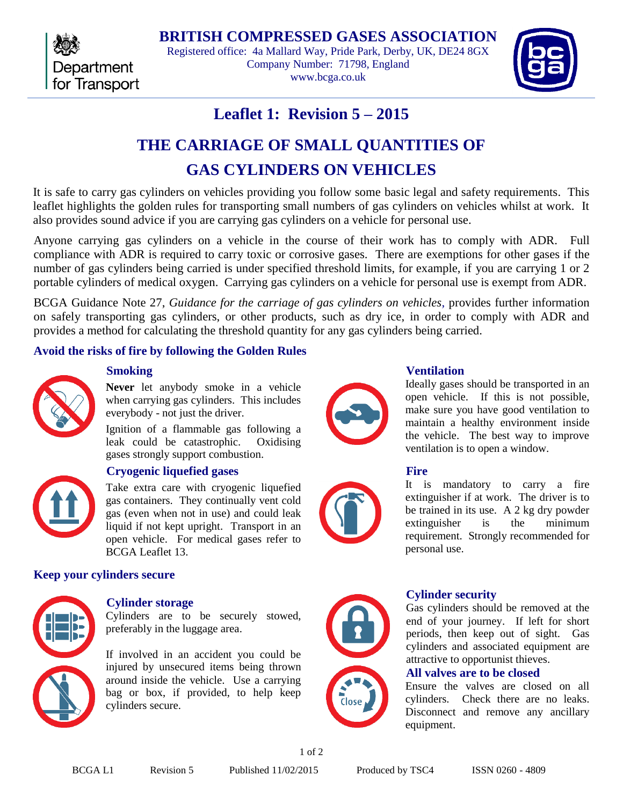

**BRITISH COMPRESSED GASES ASSOCIATION** Registered office: 4a Mallard Way, Pride Park, Derby, UK, DE24 8GX Company Number: 71798, England www.bcga.co.uk



## **Leaflet 1: Revision 5 – 2015**

# **THE CARRIAGE OF SMALL QUANTITIES OF GAS CYLINDERS ON VEHICLES**

It is safe to carry gas cylinders on vehicles providing you follow some basic legal and safety requirements. This leaflet highlights the golden rules for transporting small numbers of gas cylinders on vehicles whilst at work. It also provides sound advice if you are carrying gas cylinders on a vehicle for personal use.

Anyone carrying gas cylinders on a vehicle in the course of their work has to comply with ADR. Full compliance with ADR is required to carry toxic or corrosive gases. There are exemptions for other gases if the number of gas cylinders being carried is under specified threshold limits, for example, if you are carrying 1 or 2 portable cylinders of medical oxygen. Carrying gas cylinders on a vehicle for personal use is exempt from ADR.

BCGA Guidance Note 27, *Guidance for the carriage of gas cylinders on vehicles*, provides further information on safely transporting gas cylinders, or other products, such as dry ice, in order to comply with ADR and provides a method for calculating the threshold quantity for any gas cylinders being carried.

## **Avoid the risks of fire by following the Golden Rules**



## **Smoking**

**Never** let anybody smoke in a vehicle when carrying gas cylinders. This includes everybody - not just the driver.

Ignition of a flammable gas following a leak could be catastrophic. Oxidising gases strongly support combustion.



## **Cryogenic liquefied gases**

Take extra care with cryogenic liquefied gas containers. They continually vent cold gas (even when not in use) and could leak liquid if not kept upright. Transport in an open vehicle. For medical gases refer to BCGA Leaflet 13.

## **Keep your cylinders secure**



## **Cylinder storage**

Cylinders are to be securely stowed, preferably in the luggage area.

If involved in an accident you could be injured by unsecured items being thrown around inside the vehicle. Use a carrying bag or box, if provided, to help keep cylinders secure.



## **Ventilation**

Ideally gases should be transported in an open vehicle. If this is not possible, make sure you have good ventilation to maintain a healthy environment inside the vehicle. The best way to improve ventilation is to open a window.



## **Fire**

It is mandatory to carry a fire extinguisher if at work. The driver is to be trained in its use. A 2 kg dry powder extinguisher is the minimum requirement. Strongly recommended for personal use.



## **Cylinder security**

Gas cylinders should be removed at the end of your journey. If left for short periods, then keep out of sight. Gas cylinders and associated equipment are attractive to opportunist thieves.

## **All valves are to be closed**

Ensure the valves are closed on all cylinders. Check there are no leaks. Disconnect and remove any ancillary equipment.

1 of 2

BCGA L1 Revision 5 Published 11/02/2015 Produced by TSC4 ISSN 0260 - 4809